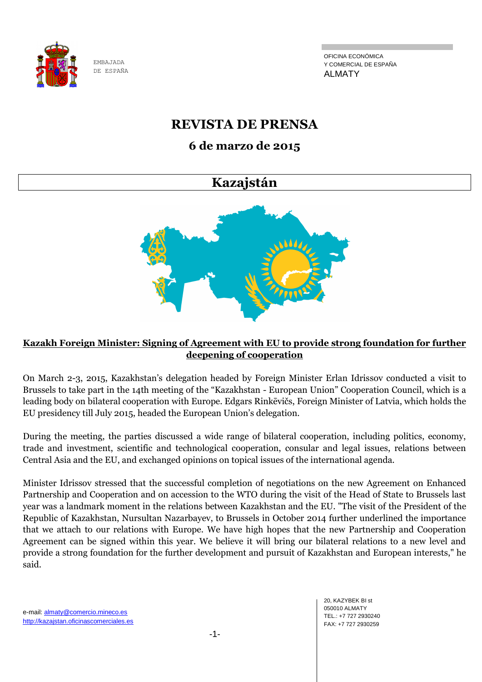

OFICINA ECONÓMICA Y COMERCIAL DE ESPAÑA ALMATY

# **REVISTA DE PRENSA**

# **6 de marzo de 2015**

# **Kazajstán**



# **Kazakh Foreign Minister: Signing of Agreement with EU to provide strong foundation for further deepening of cooperation**

On March 2-3, 2015, Kazakhstan's delegation headed by Foreign Minister Erlan Idrissov conducted a visit to Brussels to take part in the 14th meeting of the "Kazakhstan - European Union" Cooperation Council, which is a leading body on bilateral cooperation with Europe. Edgars Rinkēvičs, Foreign Minister of Latvia, which holds the EU presidency till July 2015, headed the European Union's delegation.

During the meeting, the parties discussed a wide range of bilateral cooperation, including politics, economy, trade and investment, scientific and technological cooperation, consular and legal issues, relations between Central Asia and the EU, and exchanged opinions on topical issues of the international agenda.

Minister Idrissov stressed that the successful completion of negotiations on the new Agreement on Enhanced Partnership and Cooperation and on accession to the WTO during the visit of the Head of State to Brussels last year was a landmark moment in the relations between Kazakhstan and the EU. "The visit of the President of the Republic of Kazakhstan, Nursultan Nazarbayev, to Brussels in October 2014 further underlined the importance that we attach to our relations with Europe. We have high hopes that the new Partnership and Cooperation Agreement can be signed within this year. We believe it will bring our bilateral relations to a new level and provide a strong foundation for the further development and pursuit of Kazakhstan and European interests," he said.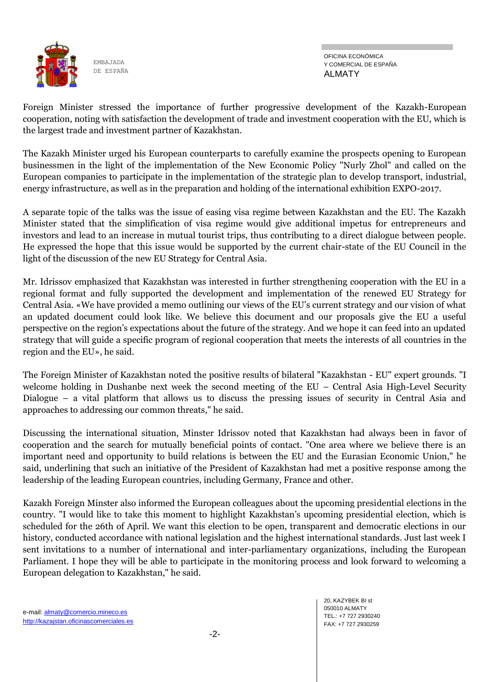

Foreign Minister stressed the importance of further progressive development of the Kazakh-European cooperation, noting with satisfaction the development of trade and investment cooperation with the EU, which is the largest trade and investment partner of Kazakhstan.

The Kazakh Minister urged his European counterparts to carefully examine the prospects opening to European businessmen in the light of the implementation of the New Economic Policy "Nurly Zhol" and called on the European companies to participate in the implementation of the strategic plan to develop transport, industrial, energy infrastructure, as well as in the preparation and holding of the international exhibition EXPO-2017.

A separate topic of the talks was the issue of easing visa regime between Kazakhstan and the EU. The Kazakh Minister stated that the simplification of visa regime would give additional impetus for entrepreneurs and investors and lead to an increase in mutual tourist trips, thus contributing to a direct dialogue between people. He expressed the hope that this issue would be supported by the current chair-state of the EU Council in the light of the discussion of the new EU Strategy for Central Asia.

Mr. Idrissov emphasized that Kazakhstan was interested in further strengthening cooperation with the EU in a regional format and fully supported the development and implementation of the renewed EU Strategy for Central Asia. «We have provided a memo outlining our views of the EU's current strategy and our vision of what an updated document could look like. We believe this document and our proposals give the EU a useful perspective on the region's expectations about the future of the strategy. And we hope it can feed into an updated strategy that will guide a specific program of regional cooperation that meets the interests of all countries in the region and the EU», he said.

The Foreign Minister of Kazakhstan noted the positive results of bilateral "Kazakhstan - EU" expert grounds. "I welcome holding in Dushanbe next week the second meeting of the EU – Central Asia High-Level Security Dialogue – a vital platform that allows us to discuss the pressing issues of security in Central Asia and approaches to addressing our common threats," he said.

Discussing the international situation, Minster Idrissov noted that Kazakhstan had always been in favor of cooperation and the search for mutually beneficial points of contact. "One area where we believe there is an important need and opportunity to build relations is between the EU and the Eurasian Economic Union," he said, underlining that such an initiative of the President of Kazakhstan had met a positive response among the leadership of the leading European countries, including Germany, France and other.

Kazakh Foreign Minster also informed the European colleagues about the upcoming presidential elections in the country. "I would like to take this moment to highlight Kazakhstan's upcoming presidential election, which is scheduled for the 26th of April. We want this election to be open, transparent and democratic elections in our history, conducted accordance with national legislation and the highest international standards. Just last week I sent invitations to a number of international and inter-parliamentary organizations, including the European Parliament. I hope they will be able to participate in the monitoring process and look forward to welcoming a European delegation to Kazakhstan," he said.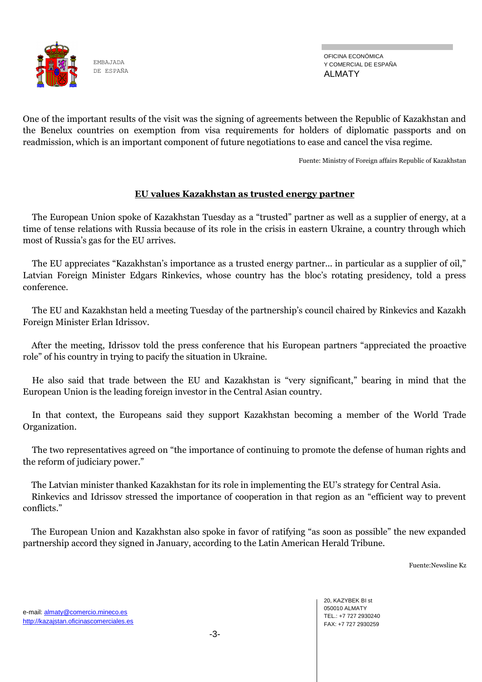

OFICINA ECONÓMICA Y COMERCIAL DE ESPAÑA ALMATY

One of the important results of the visit was the signing of agreements between the Republic of Kazakhstan and the Benelux countries on exemption from visa requirements for holders of diplomatic passports and on readmission, which is an important component of future negotiations to ease and cancel the visa regime.

Fuente: Ministry of Foreign affairs Republic of Kazakhstan

## **EU values Kazakhstan as trusted energy partner**

The European Union spoke of Kazakhstan Tuesday as a "trusted" partner as well as a supplier of energy, at a time of tense relations with Russia because of its role in the crisis in eastern Ukraine, a country through which most of Russia's gas for the EU arrives.

The EU appreciates "Kazakhstan's importance as a trusted energy partner... in particular as a supplier of oil," Latvian Foreign Minister Edgars Rinkevics, whose country has the bloc's rotating presidency, told a press conference.

The EU and Kazakhstan held a meeting Tuesday of the partnership's council chaired by Rinkevics and Kazakh Foreign Minister Erlan Idrissov.

After the meeting, Idrissov told the press conference that his European partners "appreciated the proactive role" of his country in trying to pacify the situation in Ukraine.

He also said that trade between the EU and Kazakhstan is "very significant," bearing in mind that the European Union is the leading foreign investor in the Central Asian country.

In that context, the Europeans said they support Kazakhstan becoming a member of the World Trade Organization.

The two representatives agreed on "the importance of continuing to promote the defense of human rights and the reform of judiciary power."

The Latvian minister thanked Kazakhstan for its role in implementing the EU's strategy for Central Asia.

Rinkevics and Idrissov stressed the importance of cooperation in that region as an "efficient way to prevent conflicts."

The European Union and Kazakhstan also spoke in favor of ratifying "as soon as possible" the new expanded partnership accord they signed in January, according to the Latin American Herald Tribune.

Fuente:Newsline Kz

20, KAZYBEK BI st 050010 ALMATY TEL.: +7 727 2930240 FAX: +7 727 2930259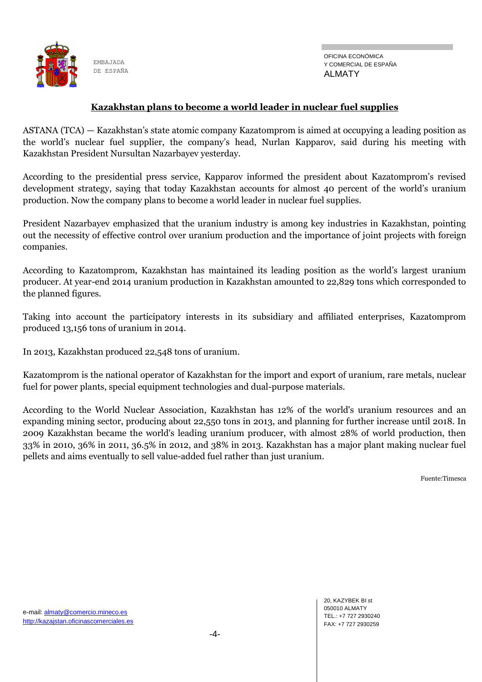

#### **Kazakhstan plans to become a world leader in nuclear fuel supplies**

ASTANA (TCA) — Kazakhstan's state atomic company Kazatomprom is aimed at occupying a leading position as the world's nuclear fuel supplier, the company's head, Nurlan Kapparov, said during his meeting with Kazakhstan President Nursultan Nazarbayev yesterday.

According to the presidential press service, Kapparov informed the president about Kazatomprom's revised development strategy, saying that today Kazakhstan accounts for almost 40 percent of the world's uranium production. Now the company plans to become a world leader in nuclear fuel supplies.

President Nazarbayev emphasized that the uranium industry is among key industries in Kazakhstan, pointing out the necessity of effective control over uranium production and the importance of joint projects with foreign companies.

According to Kazatomprom, Kazakhstan has maintained its leading position as the world's largest uranium producer. At year-end 2014 uranium production in Kazakhstan amounted to 22,829 tons which corresponded to the planned figures.

Taking into account the participatory interests in its subsidiary and affiliated enterprises, Kazatomprom produced 13,156 tons of uranium in 2014.

In 2013, Kazakhstan produced 22,548 tons of uranium.

Kazatomprom is the national operator of Kazakhstan for the import and export of uranium, rare metals, nuclear fuel for power plants, special equipment technologies and dual-purpose materials.

According to the World Nuclear Association, Kazakhstan has 12% of the world's uranium resources and an expanding mining sector, producing about 22,550 tons in 2013, and planning for further increase until 2018. In 2009 Kazakhstan became the world's leading uranium producer, with almost 28% of world production, then 33% in 2010, 36% in 2011, 36.5% in 2012, and 38% in 2013. Kazakhstan has a major plant making nuclear fuel pellets and aims eventually to sell value-added fuel rather than just uranium.

Fuente:Timesca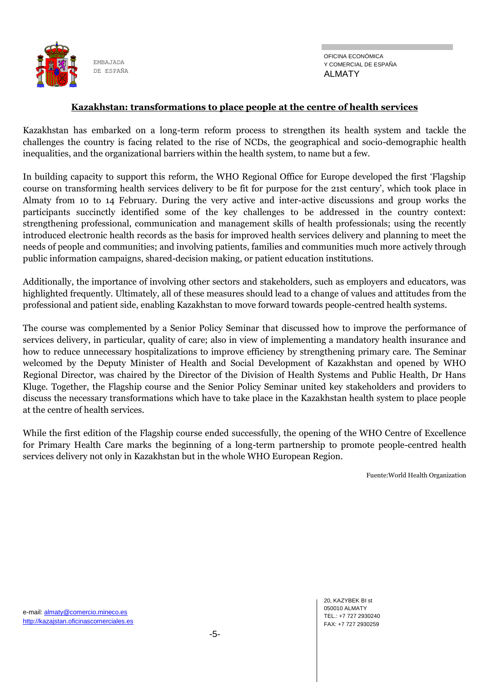

#### **Kazakhstan: transformations to place people at the centre of health services**

Kazakhstan has embarked on a long-term reform process to strengthen its health system and tackle the challenges the country is facing related to the rise of NCDs, the geographical and socio-demographic health inequalities, and the organizational barriers within the health system, to name but a few.

In building capacity to support this reform, the WHO Regional Office for Europe developed the first ‗Flagship course on transforming health services delivery to be fit for purpose for the 21st century', which took place in Almaty from 10 to 14 February. During the very active and inter-active discussions and group works the participants succinctly identified some of the key challenges to be addressed in the country context: strengthening professional, communication and management skills of health professionals; using the recently introduced electronic health records as the basis for improved health services delivery and planning to meet the needs of people and communities; and involving patients, families and communities much more actively through public information campaigns, shared-decision making, or patient education institutions.

Additionally, the importance of involving other sectors and stakeholders, such as employers and educators, was highlighted frequently. Ultimately, all of these measures should lead to a change of values and attitudes from the professional and patient side, enabling Kazakhstan to move forward towards people-centred health systems.

The course was complemented by a Senior Policy Seminar that discussed how to improve the performance of services delivery, in particular, quality of care; also in view of implementing a mandatory health insurance and how to reduce unnecessary hospitalizations to improve efficiency by strengthening primary care. The Seminar welcomed by the Deputy Minister of Health and Social Development of Kazakhstan and opened by WHO Regional Director, was chaired by the Director of the Division of Health Systems and Public Health, Dr Hans Kluge. Together, the Flagship course and the Senior Policy Seminar united key stakeholders and providers to discuss the necessary transformations which have to take place in the Kazakhstan health system to place people at the centre of health services.

While the first edition of the Flagship course ended successfully, the opening of the WHO Centre of Excellence for Primary Health Care marks the beginning of a long-term partnership to promote people-centred health services delivery not only in Kazakhstan but in the whole WHO European Region.

Fuente:World Health Organization

20, KAZYBEK BI st 050010 ALMATY TEL.: +7 727 2930240 FAX: +7 727 2930259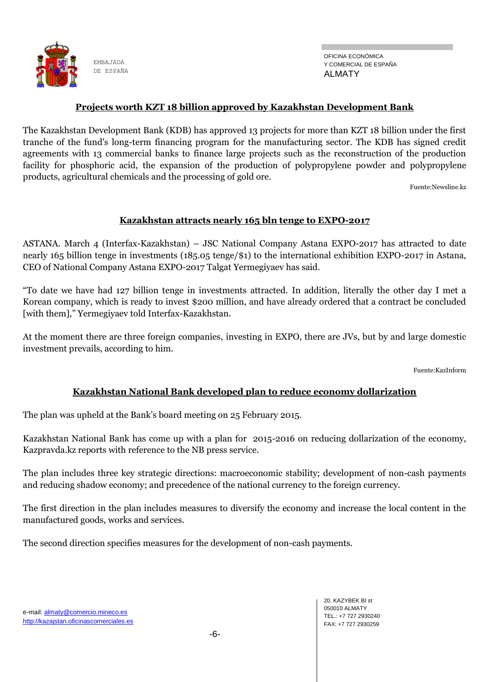

#### **Projects worth KZT 18 billion approved by Kazakhstan Development Bank**

The Kazakhstan Development Bank (KDB) has approved 13 projects for more than KZT 18 billion under the first tranche of the fund's long-term financing program for the manufacturing sector. The KDB has signed credit agreements with 13 commercial banks to finance large projects such as the reconstruction of the production facility for phosphoric acid, the expansion of the production of polypropylene powder and polypropylene products, agricultural chemicals and the processing of gold ore.

Fuente:Newsline.kz

#### **Kazakhstan attracts nearly 165 bln tenge to EXPO-2017**

ASTANA. March 4 (Interfax-Kazakhstan) – JSC National Company Astana EXPO-2017 has attracted to date nearly 165 billion tenge in investments (185.05 tenge/\$1) to the international exhibition EXPO-2017 in Astana, CEO of National Company Astana EXPO-2017 Talgat Yermegiyaev has said.

―To date we have had 127 billion tenge in investments attracted. In addition, literally the other day I met a Korean company, which is ready to invest \$200 million, and have already ordered that a contract be concluded [with them]," Yermegiyaev told Interfax-Kazakhstan.

At the moment there are three foreign companies, investing in EXPO, there are JVs, but by and large domestic investment prevails, according to him.

Fuente:KazInform

#### **Kazakhstan National Bank developed plan to reduce economy dollarization**

The plan was upheld at the Bank's board meeting on 25 February 2015.

Kazakhstan National Bank has come up with a plan for 2015-2016 on reducing dollarization of the economy, Kazpravda.kz reports with reference to the NB press service.

The plan includes three key strategic directions: macroeconomic stability; development of non-cash payments and reducing shadow economy; and precedence of the national currency to the foreign currency.

The first direction in the plan includes measures to diversify the economy and increase the local content in the manufactured goods, works and services.

The second direction specifies measures for the development of non-cash payments.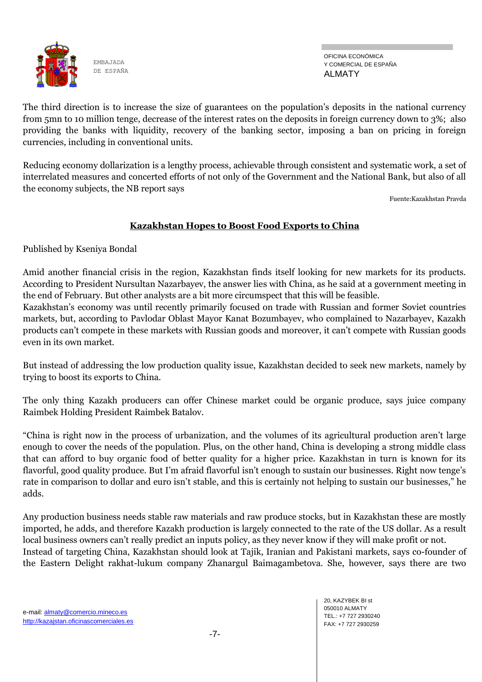

OFICINA ECONÓMICA Y COMERCIAL DE ESPAÑA ALMATY

The third direction is to increase the size of guarantees on the population's deposits in the national currency from 5mn to 10 million tenge, decrease of the interest rates on the deposits in foreign currency down to 3%; also providing the banks with liquidity, recovery of the banking sector, imposing a ban on pricing in foreign currencies, including in conventional units.

Reducing economy dollarization is a lengthy process, achievable through consistent and systematic work, a set of interrelated measures and concerted efforts of not only of the Government and the National Bank, but also of all the economy subjects, the NB report says

Fuente:Kazakhstan Pravda

# **Kazakhstan Hopes to Boost Food Exports to China**

Published by Kseniya Bondal

Amid another financial crisis in the region, Kazakhstan finds itself looking for new markets for its products. According to President Nursultan Nazarbayev, the answer lies with China, as he said at a government meeting in the end of February. But other analysts are a bit more circumspect that this will be feasible.

Kazakhstan's economy was until recently primarily focused on trade with Russian and former Soviet countries markets, but, according to Pavlodar Oblast Mayor Kanat Bozumbayev, who complained to Nazarbayev, Kazakh products can't compete in these markets with Russian goods and moreover, it can't compete with Russian goods even in its own market.

But instead of addressing the low production quality issue, Kazakhstan decided to seek new markets, namely by trying to boost its exports to China.

The only thing Kazakh producers can offer Chinese market could be organic produce, says juice company Raimbek Holding President Raimbek Batalov.

―China is right now in the process of urbanization, and the volumes of its agricultural production aren't large enough to cover the needs of the population. Plus, on the other hand, China is developing a strong middle class that can afford to buy organic food of better quality for a higher price. Kazakhstan in turn is known for its flavorful, good quality produce. But I'm afraid flavorful isn't enough to sustain our businesses. Right now tenge's rate in comparison to dollar and euro isn't stable, and this is certainly not helping to sustain our businesses," he adds.

Any production business needs stable raw materials and raw produce stocks, but in Kazakhstan these are mostly imported, he adds, and therefore Kazakh production is largely connected to the rate of the US dollar. As a result local business owners can't really predict an inputs policy, as they never know if they will make profit or not. Instead of targeting China, Kazakhstan should look at Tajik, Iranian and Pakistani markets, says co-founder of the Eastern Delight rakhat-lukum company Zhanargul Baimagambetova. She, however, says there are two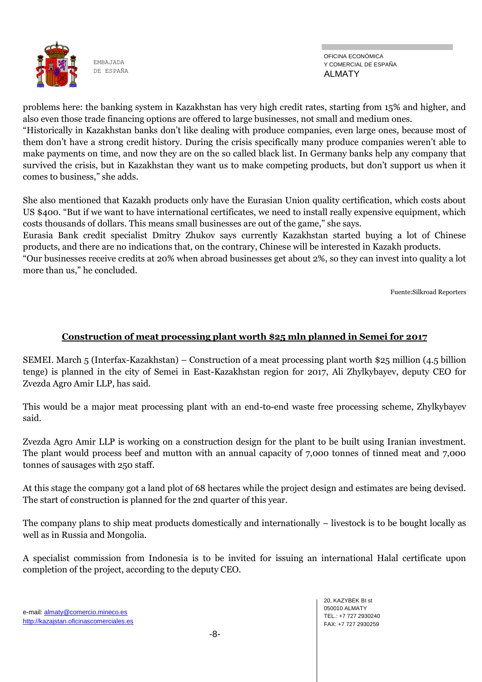

OFICINA ECONÓMICA Y COMERCIAL DE ESPAÑA ALMATY

problems here: the banking system in Kazakhstan has very high credit rates, starting from 15% and higher, and also even those trade financing options are offered to large businesses, not small and medium ones.

―Historically in Kazakhstan banks don't like dealing with produce companies, even large ones, because most of them don't have a strong credit history. During the crisis specifically many produce companies weren't able to make payments on time, and now they are on the so called black list. In Germany banks help any company that survived the crisis, but in Kazakhstan they want us to make competing products, but don't support us when it comes to business," she adds.

She also mentioned that Kazakh products only have the Eurasian Union quality certification, which costs about US \$400. "But if we want to have international certificates, we need to install really expensive equipment, which costs thousands of dollars. This means small businesses are out of the game," she says.

Eurasia Bank credit specialist Dmitry Zhukov says currently Kazakhstan started buying a lot of Chinese products, and there are no indications that, on the contrary, Chinese will be interested in Kazakh products.

―Our businesses receive credits at 20% when abroad businesses get about 2%, so they can invest into quality a lot more than us," he concluded.

Fuente:Silkroad Reporters

## **Construction of meat processing plant worth \$25 mln planned in Semei for 2017**

SEMEI. March 5 (Interfax-Kazakhstan) – Construction of a meat processing plant worth \$25 million (4.5 billion tenge) is planned in the city of Semei in East-Kazakhstan region for 2017, Ali Zhylkybayev, deputy CEO for Zvezda Agro Amir LLP, has said.

This would be a major meat processing plant with an end-to-end waste free processing scheme, Zhylkybayev said.

Zvezda Agro Amir LLP is working on a construction design for the plant to be built using Iranian investment. The plant would process beef and mutton with an annual capacity of 7,000 tonnes of tinned meat and 7,000 tonnes of sausages with 250 staff.

At this stage the company got a land plot of 68 hectares while the project design and estimates are being devised. The start of construction is planned for the 2nd quarter of this year.

The company plans to ship meat products domestically and internationally – livestock is to be bought locally as well as in Russia and Mongolia.

A specialist commission from Indonesia is to be invited for issuing an international Halal certificate upon completion of the project, according to the deputy CEO.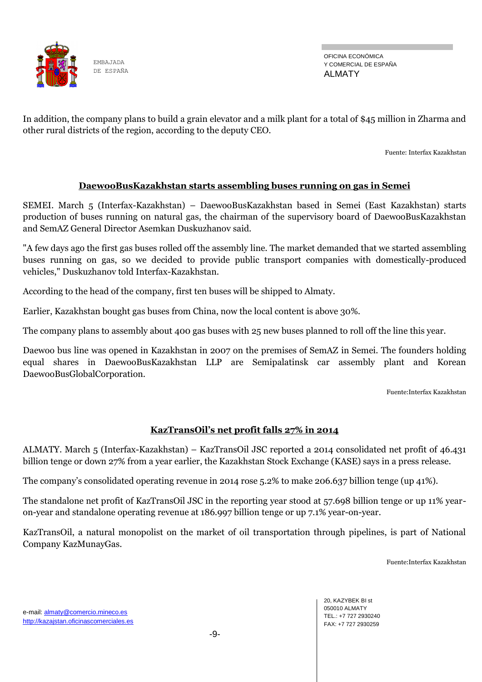

OFICINA ECONÓMICA Y COMERCIAL DE ESPAÑA ALMATY

In addition, the company plans to build a grain elevator and a milk plant for a total of \$45 million in Zharma and other rural districts of the region, according to the deputy CEO.

Fuente: Interfax Kazakhstan

## **DaewooBusKazakhstan starts assembling buses running on gas in Semei**

SEMEI. March 5 (Interfax-Kazakhstan) – DaewooBusKazakhstan based in Semei (East Kazakhstan) starts production of buses running on natural gas, the chairman of the supervisory board of DaewooBusKazakhstan and SemAZ General Director Asemkan Duskuzhanov said.

"A few days ago the first gas buses rolled off the assembly line. The market demanded that we started assembling buses running on gas, so we decided to provide public transport companies with domestically-produced vehicles," Duskuzhanov told Interfax-Kazakhstan.

According to the head of the company, first ten buses will be shipped to Almaty.

Earlier, Kazakhstan bought gas buses from China, now the local content is above 30%.

The company plans to assembly about 400 gas buses with 25 new buses planned to roll off the line this year.

Daewoo bus line was opened in Kazakhstan in 2007 on the premises of SemAZ in Semei. The founders holding equal shares in DaewooBusKazakhstan LLP are Semipalatinsk car assembly plant and Korean DaewooBusGlobalCorporation.

Fuente:Interfax Kazakhstan

## **KazTransOil's net profit falls 27% in 2014**

ALMATY. March 5 (Interfax-Kazakhstan) – KazTransOil JSC reported a 2014 consolidated net profit of 46.431 billion tenge or down 27% from a year earlier, the Kazakhstan Stock Exchange (KASE) says in a press release.

The company's consolidated operating revenue in 2014 rose 5.2% to make 206.637 billion tenge (up 41%).

The standalone net profit of KazTransOil JSC in the reporting year stood at 57.698 billion tenge or up 11% yearon-year and standalone operating revenue at 186.997 billion tenge or up 7.1% year-on-year.

KazTransOil, a natural monopolist on the market of oil transportation through pipelines, is part of National Company KazMunayGas.

Fuente:Interfax Kazakhstan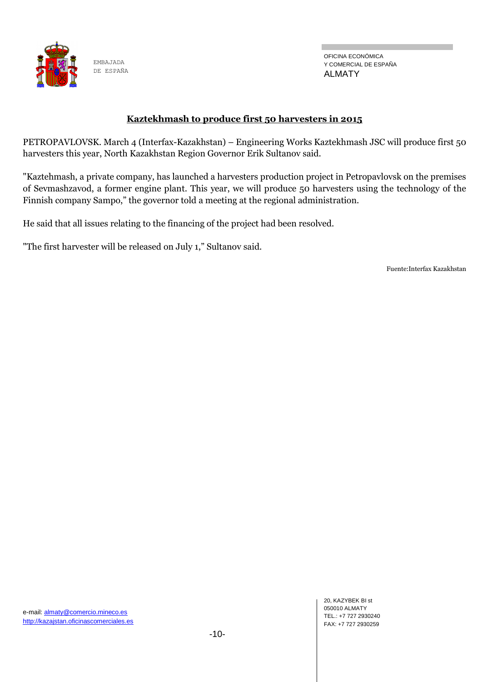

## **Kaztekhmash to produce first 50 harvesters in 2015**

PETROPAVLOVSK. March 4 (Interfax-Kazakhstan) – Engineering Works Kaztekhmash JSC will produce first 50 harvesters this year, North Kazakhstan Region Governor Erik Sultanov said.

"Kaztehmash, a private company, has launched a harvesters production project in Petropavlovsk on the premises of Sevmashzavod, a former engine plant. This year, we will produce 50 harvesters using the technology of the Finnish company Sampo," the governor told a meeting at the regional administration.

He said that all issues relating to the financing of the project had been resolved.

"The first harvester will be released on July 1," Sultanov said.

Fuente:Interfax Kazakhstan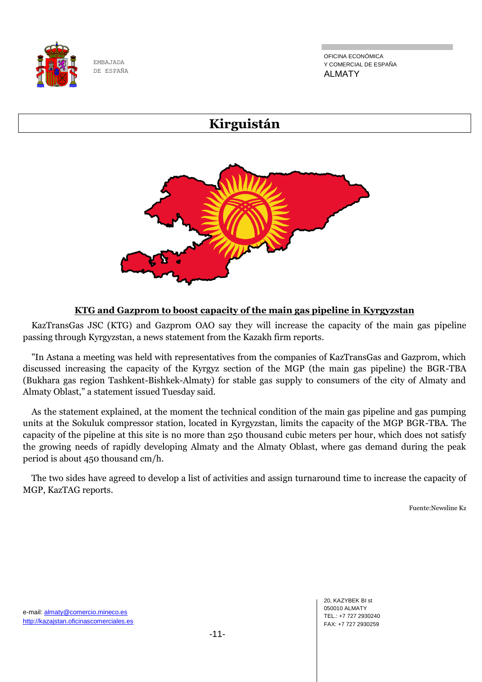

OFICINA ECONÓMICA Y COMERCIAL DE ESPAÑA ALMATY

# **Kirguistán**



# **KTG and Gazprom to boost capacity of the main gas pipeline in Kyrgyzstan**

 KazTransGas JSC (KTG) and Gazprom OAO say they will increase the capacity of the main gas pipeline passing through Kyrgyzstan, a news statement from the Kazakh firm reports.

 "In Astana a meeting was held with representatives from the companies of KazTransGas and Gazprom, which discussed increasing the capacity of the Kyrgyz section of the MGP (the main gas pipeline) the BGR-TBA (Bukhara gas region Tashkent-Bishkek-Almaty) for stable gas supply to consumers of the city of Almaty and Almaty Oblast," a statement issued Tuesday said.

 As the statement explained, at the moment the technical condition of the main gas pipeline and gas pumping units at the Sokuluk compressor station, located in Kyrgyzstan, limits the capacity of the MGP BGR-TBA. The capacity of the pipeline at this site is no more than 250 thousand cubic meters per hour, which does not satisfy the growing needs of rapidly developing Almaty and the Almaty Oblast, where gas demand during the peak period is about 450 thousand cm/h.

The two sides have agreed to develop a list of activities and assign turnaround time to increase the capacity of MGP, KazTAG reports.

Fuente:Newsline Kz

20, KAZYBEK BI st 050010 ALMATY TEL.: +7 727 2930240 FAX: +7 727 2930259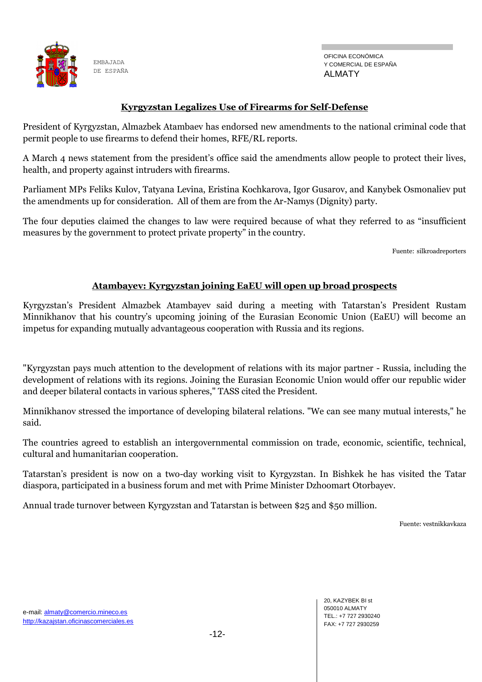

## **Kyrgyzstan Legalizes Use of Firearms for Self-Defense**

President of Kyrgyzstan, Almazbek Atambaev has endorsed new amendments to the national criminal code that permit people to use firearms to defend their homes, RFE/RL reports.

A March 4 news statement from the president's office said the amendments allow people to protect their lives, health, and property against intruders with firearms.

Parliament MPs Feliks Kulov, Tatyana Levina, Eristina Kochkarova, Igor Gusarov, and Kanybek Osmonaliev put the amendments up for consideration. All of them are from the Ar-Namys (Dignity) party.

The four deputies claimed the changes to law were required because of what they referred to as "insufficient" measures by the government to protect private property" in the country.

Fuente: silkroadreporters

## **Atambayev: Kyrgyzstan joining EaEU will open up broad prospects**

Kyrgyzstan's President Almazbek Atambayev said during a meeting with Tatarstan's President Rustam Minnikhanov that his country's upcoming joining of the Eurasian Economic Union (EaEU) will become an impetus for expanding mutually advantageous cooperation with Russia and its regions.

"Kyrgyzstan pays much attention to the development of relations with its major partner - Russia, including the development of relations with its regions. Joining the Eurasian Economic Union would offer our republic wider and deeper bilateral contacts in various spheres," TASS cited the President.

Minnikhanov stressed the importance of developing bilateral relations. "We can see many mutual interests," he said.

The countries agreed to establish an intergovernmental commission on trade, economic, scientific, technical, cultural and humanitarian cooperation.

Tatarstan's president is now on a two-day working visit to Kyrgyzstan. In Bishkek he has visited the Tatar diaspora, participated in a business forum and met with Prime Minister Dzhoomart Otorbayev.

Annual trade turnover between Kyrgyzstan and Tatarstan is between \$25 and \$50 million.

Fuente: vestnikkavkaza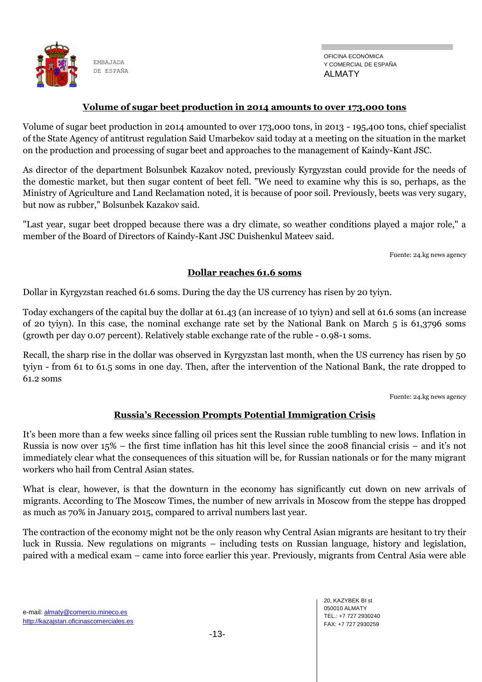

#### **Volume of sugar beet production in 2014 amounts to over 173,000 tons**

Volume of sugar beet production in 2014 amounted to over 173,000 tons, in 2013 - 195,400 tons, chief specialist of the State Agency of antitrust regulation Said Umarbekov said today at a meeting on the situation in the market on the production and processing of sugar beet and approaches to the management of Kaindy-Kant JSC.

As director of the department Bolsunbek Kazakov noted, previously Kyrgyzstan could provide for the needs of the domestic market, but then sugar content of beet fell. "We need to examine why this is so, perhaps, as the Ministry of Agriculture and Land Reclamation noted, it is because of poor soil. Previously, beets was very sugary, but now as rubber," Bolsunbek Kazakov said.

"Last year, sugar beet dropped because there was a dry climate, so weather conditions played a major role," a member of the Board of Directors of Kaindy-Kant JSC Duishenkul Mateev said.

Fuente: 24.kg news agency

#### **Dollar reaches 61.6 soms**

Dollar in Kyrgyzstan reached 61.6 soms. During the day the US currency has risen by 20 tyiyn.

Today exchangers of the capital buy the dollar at 61.43 (an increase of 10 tyiyn) and sell at 61.6 soms (an increase of 20 tyiyn). In this case, the nominal exchange rate set by the National Bank on March 5 is 61,3796 soms (growth per day 0.07 percent). Relatively stable exchange rate of the ruble - 0.98-1 soms.

Recall, the sharp rise in the dollar was observed in Kyrgyzstan last month, when the US currency has risen by 50 tyiyn - from 61 to 61.5 soms in one day. Then, after the intervention of the National Bank, the rate dropped to  $61.2$  soms

Fuente: 24.kg news agency

## **Russia's Recession Prompts Potential Immigration Crisis**

It's been more than a few weeks since falling oil prices sent the Russian ruble tumbling to new lows. Inflation in Russia is now over 15% – the first time inflation has hit this level since the 2008 financial crisis – and it's not immediately clear what the consequences of this situation will be, for Russian nationals or for the many migrant workers who hail from Central Asian states.

What is clear, however, is that the downturn in the economy has significantly cut down on new arrivals of migrants. According to The Moscow Times, the number of new arrivals in Moscow from the steppe has dropped as much as 70% in January 2015, compared to arrival numbers last year.

The contraction of the economy might not be the only reason why Central Asian migrants are hesitant to try their luck in Russia. New regulations on migrants – including tests on Russian language, history and legislation, paired with a medical exam – came into force earlier this year. Previously, migrants from Central Asia were able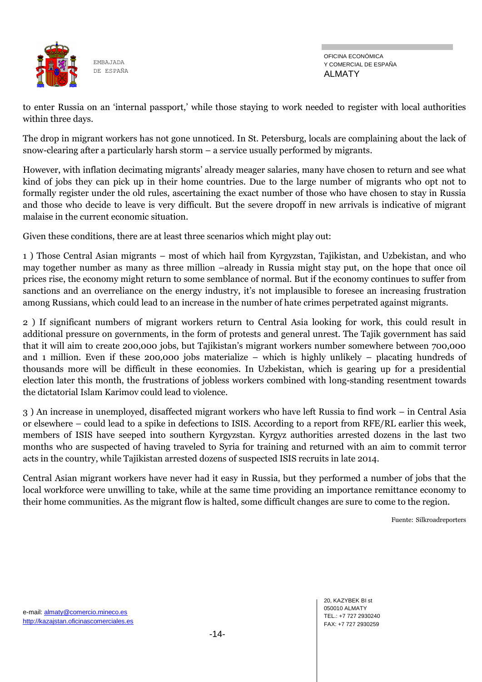

OFICINA ECONÓMICA Y COMERCIAL DE ESPAÑA ALMATY

to enter Russia on an ‗internal passport,' while those staying to work needed to register with local authorities within three days.

The drop in migrant workers has not gone unnoticed. In St. Petersburg, locals are complaining about the lack of snow-clearing after a particularly harsh storm – a service usually performed by migrants.

However, with inflation decimating migrants' already meager salaries, many have chosen to return and see what kind of jobs they can pick up in their home countries. Due to the large number of migrants who opt not to formally register under the old rules, ascertaining the exact number of those who have chosen to stay in Russia and those who decide to leave is very difficult. But the severe dropoff in new arrivals is indicative of migrant malaise in the current economic situation.

Given these conditions, there are at least three scenarios which might play out:

1 ) Those Central Asian migrants – most of which hail from Kyrgyzstan, Tajikistan, and Uzbekistan, and who may together number as many as three million –already in Russia might stay put, on the hope that once oil prices rise, the economy might return to some semblance of normal. But if the economy continues to suffer from sanctions and an overreliance on the energy industry, it's not implausible to foresee an increasing frustration among Russians, which could lead to an increase in the number of hate crimes perpetrated against migrants.

2 ) If significant numbers of migrant workers return to Central Asia looking for work, this could result in additional pressure on governments, in the form of protests and general unrest. The Tajik government has said that it will aim to create 200,000 jobs, but Tajikistan's migrant workers number somewhere between 700,000 and 1 million. Even if these 200,000 jobs materialize – which is highly unlikely – placating hundreds of thousands more will be difficult in these economies. In Uzbekistan, which is gearing up for a presidential election later this month, the frustrations of jobless workers combined with long-standing resentment towards the dictatorial Islam Karimov could lead to violence.

3 ) An increase in unemployed, disaffected migrant workers who have left Russia to find work – in Central Asia or elsewhere – could lead to a spike in defections to ISIS. According to a report from RFE/RL earlier this week, members of ISIS have seeped into southern Kyrgyzstan. Kyrgyz authorities arrested dozens in the last two months who are suspected of having traveled to Syria for training and returned with an aim to commit terror acts in the country, while Tajikistan arrested dozens of suspected ISIS recruits in late 2014.

Central Asian migrant workers have never had it easy in Russia, but they performed a number of jobs that the local workforce were unwilling to take, while at the same time providing an importance remittance economy to their home communities. As the migrant flow is halted, some difficult changes are sure to come to the region.

Fuente: Silkroadreporters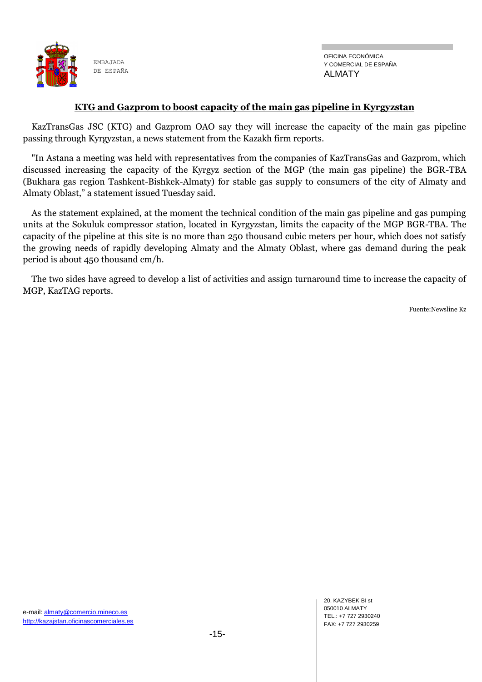

#### **KTG and Gazprom to boost capacity of the main gas pipeline in Kyrgyzstan**

 KazTransGas JSC (KTG) and Gazprom OAO say they will increase the capacity of the main gas pipeline passing through Kyrgyzstan, a news statement from the Kazakh firm reports.

 "In Astana a meeting was held with representatives from the companies of KazTransGas and Gazprom, which discussed increasing the capacity of the Kyrgyz section of the MGP (the main gas pipeline) the BGR-TBA (Bukhara gas region Tashkent-Bishkek-Almaty) for stable gas supply to consumers of the city of Almaty and Almaty Oblast," a statement issued Tuesday said.

 As the statement explained, at the moment the technical condition of the main gas pipeline and gas pumping units at the Sokuluk compressor station, located in Kyrgyzstan, limits the capacity of the MGP BGR-TBA. The capacity of the pipeline at this site is no more than 250 thousand cubic meters per hour, which does not satisfy the growing needs of rapidly developing Almaty and the Almaty Oblast, where gas demand during the peak period is about 450 thousand cm/h.

The two sides have agreed to develop a list of activities and assign turnaround time to increase the capacity of MGP, KazTAG reports.

Fuente:Newsline Kz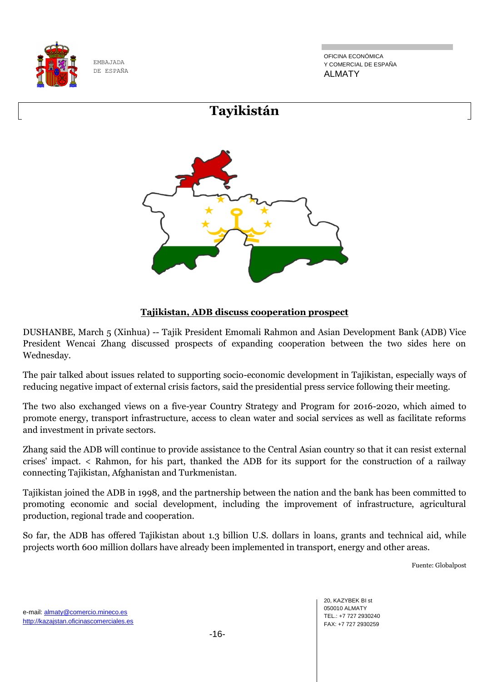

OFICINA ECONÓMICA Y COMERCIAL DE ESPAÑA ALMATY



# **Tajikistan, ADB discuss cooperation prospect**

DUSHANBE, March 5 (Xinhua) -- Tajik President Emomali Rahmon and Asian Development Bank (ADB) Vice President Wencai Zhang discussed prospects of expanding cooperation between the two sides here on Wednesday.

The pair talked about issues related to supporting socio-economic development in Tajikistan, especially ways of reducing negative impact of external crisis factors, said the presidential press service following their meeting.

The two also exchanged views on a five-year Country Strategy and Program for 2016-2020, which aimed to promote energy, transport infrastructure, access to clean water and social services as well as facilitate reforms and investment in private sectors.

Zhang said the ADB will continue to provide assistance to the Central Asian country so that it can resist external crises' impact. < Rahmon, for his part, thanked the ADB for its support for the construction of a railway connecting Tajikistan, Afghanistan and Turkmenistan.

Tajikistan joined the ADB in 1998, and the partnership between the nation and the bank has been committed to promoting economic and social development, including the improvement of infrastructure, agricultural production, regional trade and cooperation.

So far, the ADB has offered Tajikistan about 1.3 billion U.S. dollars in loans, grants and technical aid, while projects worth 600 million dollars have already been implemented in transport, energy and other areas.

Fuente: Globalpost

20, KAZYBEK BI st 050010 ALMATY TEL.: +7 727 2930240 FAX: +7 727 2930259